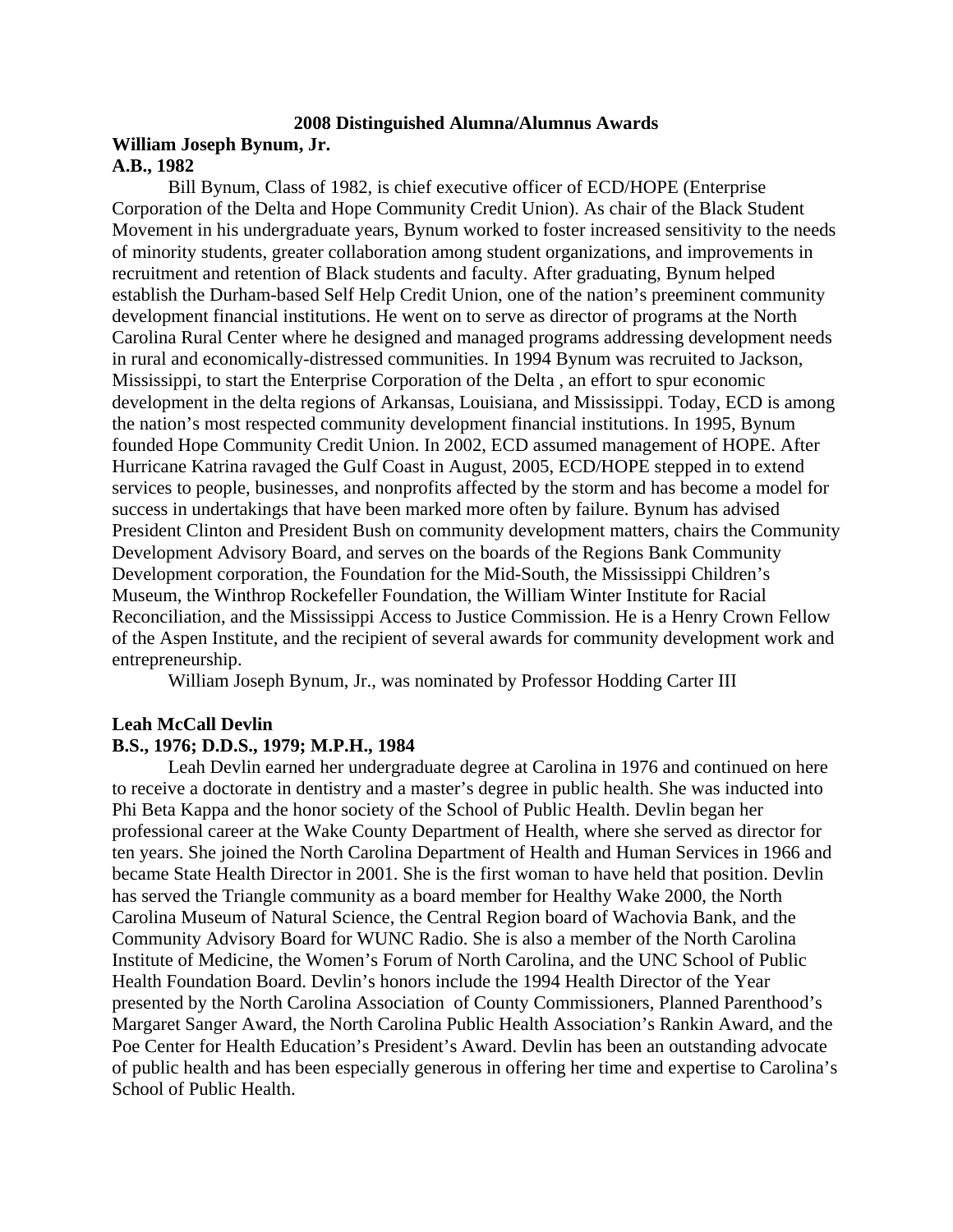## **2008 Distinguished Alumna/Alumnus Awards**

#### **William Joseph Bynum, Jr. A.B., 1982**

Bill Bynum, Class of 1982, is chief executive officer of ECD/HOPE (Enterprise Corporation of the Delta and Hope Community Credit Union). As chair of the Black Student Movement in his undergraduate years, Bynum worked to foster increased sensitivity to the needs of minority students, greater collaboration among student organizations, and improvements in recruitment and retention of Black students and faculty. After graduating, Bynum helped establish the Durham-based Self Help Credit Union, one of the nation's preeminent community development financial institutions. He went on to serve as director of programs at the North Carolina Rural Center where he designed and managed programs addressing development needs in rural and economically-distressed communities. In 1994 Bynum was recruited to Jackson, Mississippi, to start the Enterprise Corporation of the Delta , an effort to spur economic development in the delta regions of Arkansas, Louisiana, and Mississippi. Today, ECD is among the nation's most respected community development financial institutions. In 1995, Bynum founded Hope Community Credit Union. In 2002, ECD assumed management of HOPE. After Hurricane Katrina ravaged the Gulf Coast in August, 2005, ECD/HOPE stepped in to extend services to people, businesses, and nonprofits affected by the storm and has become a model for success in undertakings that have been marked more often by failure. Bynum has advised President Clinton and President Bush on community development matters, chairs the Community Development Advisory Board, and serves on the boards of the Regions Bank Community Development corporation, the Foundation for the Mid-South, the Mississippi Children's Museum, the Winthrop Rockefeller Foundation, the William Winter Institute for Racial Reconciliation, and the Mississippi Access to Justice Commission. He is a Henry Crown Fellow of the Aspen Institute, and the recipient of several awards for community development work and entrepreneurship.

William Joseph Bynum, Jr., was nominated by Professor Hodding Carter III

#### **Leah McCall Devlin**

#### **B.S., 1976; D.D.S., 1979; M.P.H., 1984**

Leah Devlin earned her undergraduate degree at Carolina in 1976 and continued on here to receive a doctorate in dentistry and a master's degree in public health. She was inducted into Phi Beta Kappa and the honor society of the School of Public Health. Devlin began her professional career at the Wake County Department of Health, where she served as director for ten years. She joined the North Carolina Department of Health and Human Services in 1966 and became State Health Director in 2001. She is the first woman to have held that position. Devlin has served the Triangle community as a board member for Healthy Wake 2000, the North Carolina Museum of Natural Science, the Central Region board of Wachovia Bank, and the Community Advisory Board for WUNC Radio. She is also a member of the North Carolina Institute of Medicine, the Women's Forum of North Carolina, and the UNC School of Public Health Foundation Board. Devlin's honors include the 1994 Health Director of the Year presented by the North Carolina Association of County Commissioners, Planned Parenthood's Margaret Sanger Award, the North Carolina Public Health Association's Rankin Award, and the Poe Center for Health Education's President's Award. Devlin has been an outstanding advocate of public health and has been especially generous in offering her time and expertise to Carolina's School of Public Health.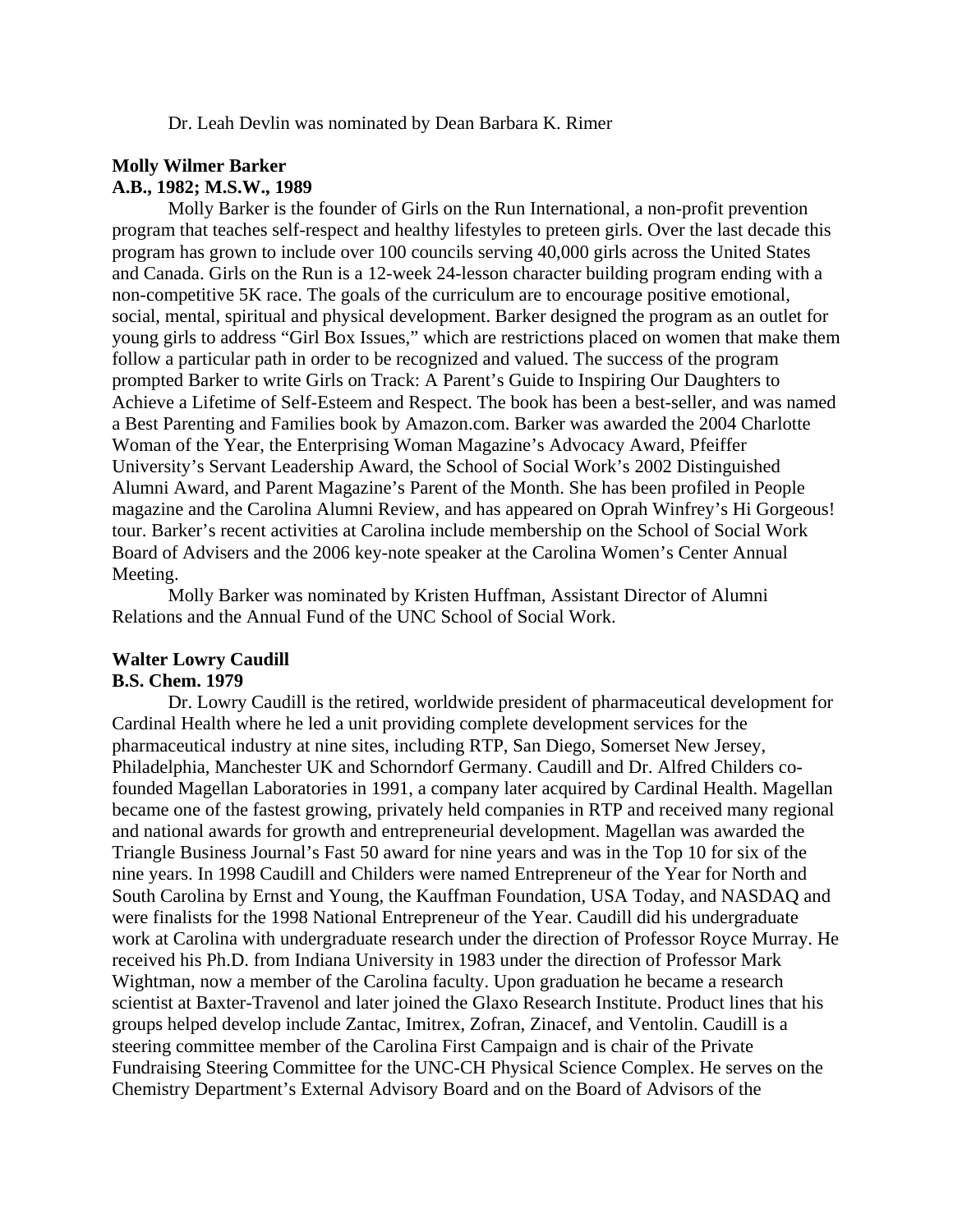Dr. Leah Devlin was nominated by Dean Barbara K. Rimer

#### **Molly Wilmer Barker A.B., 1982; M.S.W., 1989**

Molly Barker is the founder of Girls on the Run International, a non-profit prevention program that teaches self-respect and healthy lifestyles to preteen girls. Over the last decade this program has grown to include over 100 councils serving 40,000 girls across the United States and Canada. Girls on the Run is a 12-week 24-lesson character building program ending with a non-competitive 5K race. The goals of the curriculum are to encourage positive emotional, social, mental, spiritual and physical development. Barker designed the program as an outlet for young girls to address "Girl Box Issues," which are restrictions placed on women that make them follow a particular path in order to be recognized and valued. The success of the program prompted Barker to write Girls on Track: A Parent's Guide to Inspiring Our Daughters to Achieve a Lifetime of Self-Esteem and Respect. The book has been a best-seller, and was named a Best Parenting and Families book by Amazon.com. Barker was awarded the 2004 Charlotte Woman of the Year, the Enterprising Woman Magazine's Advocacy Award, Pfeiffer University's Servant Leadership Award, the School of Social Work's 2002 Distinguished Alumni Award, and Parent Magazine's Parent of the Month. She has been profiled in People magazine and the Carolina Alumni Review, and has appeared on Oprah Winfrey's Hi Gorgeous! tour. Barker's recent activities at Carolina include membership on the School of Social Work Board of Advisers and the 2006 key-note speaker at the Carolina Women's Center Annual Meeting.

Molly Barker was nominated by Kristen Huffman, Assistant Director of Alumni Relations and the Annual Fund of the UNC School of Social Work.

# **Walter Lowry Caudill**

#### **B.S. Chem. 1979**

Dr. Lowry Caudill is the retired, worldwide president of pharmaceutical development for Cardinal Health where he led a unit providing complete development services for the pharmaceutical industry at nine sites, including RTP, San Diego, Somerset New Jersey, Philadelphia, Manchester UK and Schorndorf Germany. Caudill and Dr. Alfred Childers cofounded Magellan Laboratories in 1991, a company later acquired by Cardinal Health. Magellan became one of the fastest growing, privately held companies in RTP and received many regional and national awards for growth and entrepreneurial development. Magellan was awarded the Triangle Business Journal's Fast 50 award for nine years and was in the Top 10 for six of the nine years. In 1998 Caudill and Childers were named Entrepreneur of the Year for North and South Carolina by Ernst and Young, the Kauffman Foundation, USA Today, and NASDAQ and were finalists for the 1998 National Entrepreneur of the Year. Caudill did his undergraduate work at Carolina with undergraduate research under the direction of Professor Royce Murray. He received his Ph.D. from Indiana University in 1983 under the direction of Professor Mark Wightman, now a member of the Carolina faculty. Upon graduation he became a research scientist at Baxter-Travenol and later joined the Glaxo Research Institute. Product lines that his groups helped develop include Zantac, Imitrex, Zofran, Zinacef, and Ventolin. Caudill is a steering committee member of the Carolina First Campaign and is chair of the Private Fundraising Steering Committee for the UNC-CH Physical Science Complex. He serves on the Chemistry Department's External Advisory Board and on the Board of Advisors of the